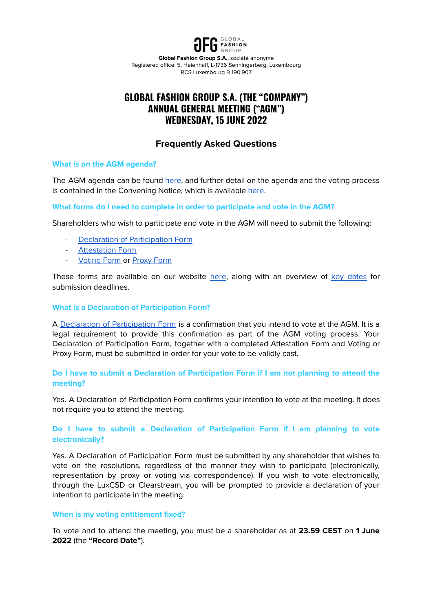

**Global Fashion Group S.A.**, société anonyme Registered office: 5, Heienhaff, L-1736 Senningerberg, Luxembourg RCS Luxembourg B 190.907

# **GLOBAL FASHION GROUP S.A. (THE "COMPANY") ANNUAL GENERAL MEETING ("AGM") WEDNESDAY, 15 JUNE 2022**

# **Frequently Asked Questions**

# **What is on the AGM agenda?**

The AGM agenda can be found [here,](https://ir.global-fashion-group.com/download/companies/globalfashion/Hauptversammlung/GFG_AGM_2022_Proposed_Resolutions_Annual_General_Meeting_2022.pdf) and further detail on the agenda and the voting process is contained in the Convening Notice, which is available [here.](https://ir.global-fashion-group.com/download/companies/globalfashion/Hauptversammlung/GFG_AGM_2022_Convening_Notice.pdf)

# **What forms do I need to complete in order to participate and vote in the AGM?**

Shareholders who wish to participate and vote in the AGM will need to submit the following:

- Declaration of [Participation](https://ir.global-fashion-group.com/download/companies/globalfashion/Hauptversammlung/GFG_AGM_2022_Declaration_Participation_AGM.pdf) Form
- **[Attestation](https://ir.global-fashion-group.com/download/companies/globalfashion/Hauptversammlung/GFG_AGM_2022_Attestation_form.pdf) Form**
- [Voting](https://ir.global-fashion-group.com/download/companies/globalfashion/Hauptversammlung/GFG_AGM_2022_Voting_Form.pdf) Form or [Proxy](https://ir.global-fashion-group.com/download/companies/globalfashion/Hauptversammlung/GFG_AGM_2022_Proxy_Form.pdf) Form

These forms are available on our website [here](https://ir.global-fashion-group.com/websites/globalfashion/English/1052/annual-general-meeting.html), along with an overview of key [dates](https://ir.global-fashion-group.com/download/companies/globalfashion/Hauptversammlung/GFG_AGM_2022_Key_Dates.pdf) for submission deadlines.

## **What is a Declaration of Participation Form?**

A Declaration of [Participation](https://ir.global-fashion-group.com/download/companies/globalfashion/Hauptversammlung/GFG_AGM_2022_Declaration_Participation_AGM.pdf) Form is a confirmation that you intend to vote at the AGM. It is a legal requirement to provide this confirmation as part of the AGM voting process. Your Declaration of Participation Form, together with a completed Attestation Form and Voting or Proxy Form, must be submitted in order for your vote to be validly cast.

# **Do I have to submit a Declaration of Participation Form if I am not planning to attend the meeting?**

Yes. A Declaration of Participation Form confirms your intention to vote at the meeting. It does not require you to attend the meeting.

# **Do I have to submit a Declaration of Participation Form if I am planning to vote electronically?**

Yes. A Declaration of Participation Form must be submitted by any shareholder that wishes to vote on the resolutions, regardless of the manner they wish to participate (electronically, representation by proxy or voting via correspondence). If you wish to vote electronically, through the LuxCSD or Clearstream, you will be prompted to provide a declaration of your intention to participate in the meeting.

## **When is my voting entitlement fixed?**

To vote and to attend the meeting, you must be a shareholder as at **23.59 CEST** on **1 June 2022** (the **"Record Date"**).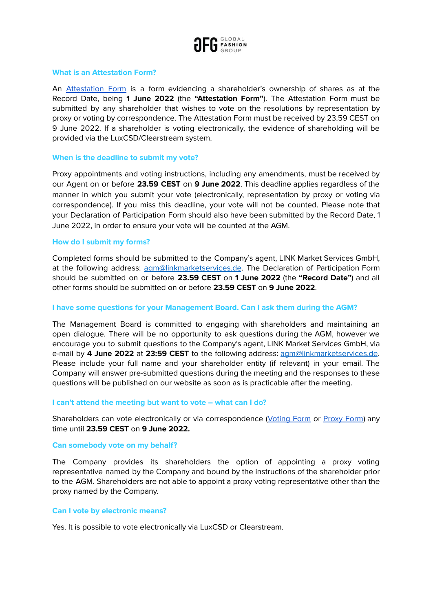

## **What is an Attestation Form?**

An [Attestation](https://ir.global-fashion-group.com/download/companies/globalfashion/Hauptversammlung/GFG_AGM_2022_Attestation_form.pdf) Form is a form evidencing a shareholder's ownership of shares as at the Record Date, being **1 June 2022** (the **"Attestation Form"**). The Attestation Form must be submitted by any shareholder that wishes to vote on the resolutions by representation by proxy or voting by correspondence. The Attestation Form must be received by 23.59 CEST on 9 June 2022. If a shareholder is voting electronically, the evidence of shareholding will be provided via the LuxCSD/Clearstream system.

### **When is the deadline to submit my vote?**

Proxy appointments and voting instructions, including any amendments, must be received by our Agent on or before **23.59 CEST** on **9 June 2022**. This deadline applies regardless of the manner in which you submit your vote (electronically, representation by proxy or voting via correspondence). If you miss this deadline, your vote will not be counted. Please note that your Declaration of Participation Form should also have been submitted by the Record Date, 1 June 2022, in order to ensure your vote will be counted at the AGM.

#### **How do I submit my forms?**

Completed forms should be submitted to the Company's agent, LINK Market Services GmbH, at the following address: [agm@linkmarketservices.de](mailto:agm@linkmarketservices.de). The Declaration of Participation Form should be submitted on or before **23.59 CEST** on **1 June 2022** (the **"Record Date"**) and all other forms should be submitted on or before **23.59 CEST** on **9 June 2022**.

#### **I have some questions for your Management Board. Can I ask them during the AGM?**

The Management Board is committed to engaging with shareholders and maintaining an open dialogue. There will be no opportunity to ask questions during the AGM, however we encourage you to submit questions to the Company's agent, LINK Market Services GmbH, via e-mail by **4 June 2022** at **23:59 CEST** to the following address: [agm@linkmarketservices.de](mailto:agm@linkmarketservices.de). Please include your full name and your shareholder entity (if relevant) in your email. The Company will answer pre-submitted questions during the meeting and the responses to these questions will be published on our website as soon as is practicable after the meeting.

### **I can't attend the meeting but want to vote – what can I do?**

Shareholders can vote electronically or via correspondence ([Voting](https://ir.global-fashion-group.com/download/companies/globalfashion/Hauptversammlung/GFG_AGM_2022_Voting_Form.pdf) Form or [Proxy](https://ir.global-fashion-group.com/download/companies/globalfashion/Hauptversammlung/GFG_AGM_2022_Proxy_Form.pdf) Form) any time until **23.59 CEST** on **9 June 2022.**

#### **Can somebody vote on my behalf?**

The Company provides its shareholders the option of appointing a proxy voting representative named by the Company and bound by the instructions of the shareholder prior to the AGM. Shareholders are not able to appoint a proxy voting representative other than the proxy named by the Company.

## **Can I vote by electronic means?**

Yes. It is possible to vote electronically via LuxCSD or Clearstream.